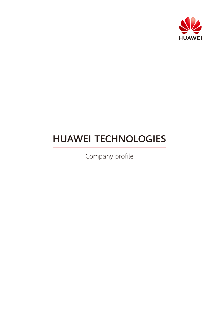

# HUAWEI TECHNOLOGIES

Company profile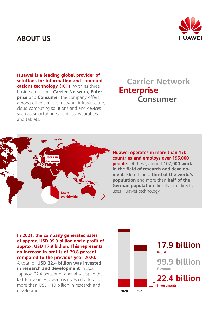### **ABOUT US**



**Huawei is a leading global provider of solutions for information and communications technology (ICT).** With its three business divisions **Carrier Network**, **Enterprise** and **Consumer** the company offers, among other services, network infrastructure, cloud computing solutions and end devices such as smartphones, laptops, wearables and tablets.

## **Carrier Network Enterprise Consumer**



### **Huawei operates in more than 170 countries and employs over 195,000**

**people.** Of these, around **107,000 work in the field of research and development**. More than a **third of the world's population** and more than **half of the German population** directly or indirectly uses Huawei technology.

**In 2021, the company generated sales of approx. USD 99.9 billion and a profit of approx. USD 17.9 billion. This represents an increase in profits of 79.8 percent compared to the previous year 2020.**  A total of **USD 22.4 billion was invested in research and development** in 2021 (approx. 22.4 percent of annual sales). In the last ten years Huawei has invested a total of more than USD 110 billion in research and development.

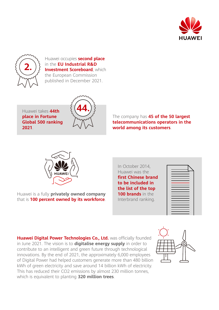



Huawei occupies **second place** in the **EU Industrial R&D Investment Scoreboard**, which the European Commission published in December 2021.

Huawei takes **44th place in Fortune Global 500 ranking 2021**.



The company has **45 of the 50 largest telecommunications operators in the world among its customers**.



Huawei is a fully **privately owned company** that is **100 percent owned by its workforce**. In October 2014, Huawei was the **first Chinese brand to be included in the list of the top 100 brands** in the Interbrand ranking.



**Huawei Digital Power Technologies Co., Ltd.** was officially founded in June 2021. The vision is to **digitalise energy supply** in order to contribute to an intelligent and green future through technological innovations. By the end of 2021, the approximately 6,000 employees of Digital Power had helped customers generate more than 480 billion kWh of green electricity and save around 14 billion kWh of electricity. This has reduced their CO2 emissions by almost 230 million tonnes, which is equivalent to planting **320 million trees**.

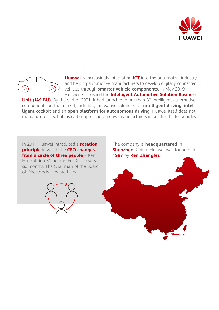



**Huawei** is increasingly integrating **ICT** into the automotive industry and helping automotive manufacturers to develop digitally connected vehicles through **smarter vehicle components**. In May 2019 Huawei established the **Intelligent Automotive Solution Business** 

**Unit (IAS BU)**. By the end of 2021, it had launched more than 30 intelligent automotive components on the market, including innovative solutions for **intelligent driving**, **intelligent cockpit** and an **open platform for autonomous driving**. Huawei itself does not manufacture cars, but instead supports automotive manufacturers in building better vehicles.

In 2011 Huawei introduced a **rotation principle** in which the **CEO changes**  from a circle of three people - Ken Hu, Sabrina Meng and Eric Xu – every six months. The Chairman of the Board of Directors is Howard Liang.



The company is **headquartered** in **Shenzhen**, China. Huawei was founded in **1987** by **Ren Zhengfei**.

**Shenzhen**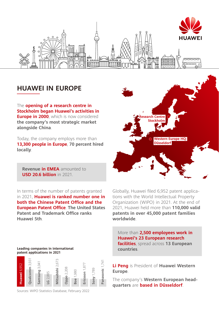

 $\overline{\mathbb{R}}$ 

### **HUAWEI IN EUROPE**

The **opening of a research centre in Stockholm began Huawei's activities in Europe in 2000**, which is now considered **the company's most strategic market alongside China**.

**Ribboo** 

Today, the company employs more than **13,300 people in Europe**, **70 percent hired locally**.

**Revenue in EMEA** amounted to **USD 20.6 billion** in 2021.

In terms of the number of patents granted in 2021, **Huawei is ranked number one in both the Chinese Patent Office and the European Patent Office**. **The United States Patent and Trademark Office ranks Huawei 5th**.

#### **Leading companies in international patent applications in 2021**



Sources: WIPO Statistics Database, February 2022



 $\widetilde{\mathfrak{g}}$  and  $\widetilde{\mathfrak{g}}$ 

0000000

Globally, Huawei filed 6,952 patent applications with the World Intellectual Property Organization (WIPO) in 2021. At the end of 2021, Huawei held more than **110,000 valid patents in over 45,000 patent families worldwide**.

More than **2,500 employees work in Huawei's 23 European research facilities**, spread across **13 European countries**.

**Li Peng** is President of **Huawei Western Europe**.

The company's **Western European headquarters** are **based in Düsseldorf**.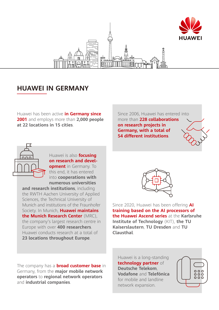

### **HUAWEI IN GERMANY**

Huawei has been active **in Germany since 2001** and employs more than **2,000 people at 22 locations in 15 cities**.

Since 2006, Huawei has entered into more than **228 collaborations on research projects in Germany, with a total of 54 different institutions**.



Huawei is also **focusing on research and development** in Germany. To this end, it has entered into **cooperations with** 

**numerous universities and research institutions**, including the RWTH Aachen University of Applied Sciences, the Technical University of Munich and institutions of the Fraunhofer Society. In Munich, **Huawei maintains the Munich Research Center** (MRC), the company's largest research centre in Europe with over **400 researchers**. Huawei conducts research at a total of **23 locations throughout Europe**.

The company has a **broad customer base** in Germany, from the **major mobile network operators** to **regional network operators** and **industrial companies**.



Since 2020, Huawei has been offering **AI training based on the AI processors of the Huawei Ascend series** at the **Karlsruhe Institute of Technology** (KIT), **the TU Kaiserslautern**, **TU Dresden** and **TU Clausthal**.

Huawei is a long-standing **technology partner** of **Deutsche Telekom**, **Vodafone** and **Telefónica** for mobile and landline network expansion.

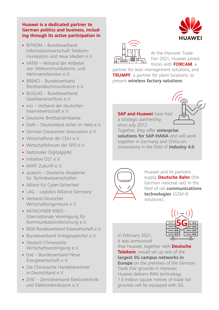### **Huawei is a dedicated partner to German politics and business, including through its active participation in**

- BITKOM Bundesverband Informationswirtschaft Telekommunikation und neue Medien e.V.
- VATM Verband der Anbieter von Telekommunikations- und Mehrwertdiensten e.V.
- $\blacksquare$  BRFKO Bundesverband Breitbandkommunikation e.V.
- BUGLAS Bundesverband Glasfaseranschluss e.V.
- eco Verband der deutschen Internetwirtschaft e.V.
- Deutsche Breitbandinitiative
- **DsiN Deutschland sicher im Netz e.V.**
- **German Datacenter Association e.V.**
- Wirtschaftsrat der CDU e.V.
- Wirtschaftsforum der SPD e.V.
- **Nationaler Digitalgipfel**
- **·** Initiative D21 e.V.
- **MINT Zukunft e.V.**
- acatech Deutsche Akademie für Technikwissenschaften
- Allianz für Cyber-Sicherheit
- **LAG Logistics Alliance Germany**
- **·** Verband Deutscher Wirtschaftsingenieure e.V.
- **· MÜNCHNER KREIS -**Übernationale Vereinigung für Kommunikationsforschung e.V.
- BSW Bundesverband Solarwirtschaft e.V.
- **·** Bundesverband Energiespeicher e.V.
- Deutsch-Chinesische Wirtschaftsvereinigung e.V.
- bne Bundesverband Neue Energiewirtschaft e.V.
- Die Chinesische Handelskammer in Deutschland e.V.
- ZVEI Zentralverband Elektrotechnikund Elektronikindustrie e.V.



At the Hanover Trade Fair 2021, Huawei joined forces with **FORCAM**, a

partner for lean management solutions, and **TRUMPF**, a partner for plant locations, to present **wireless factory solutions**.

**SAP and Huawei** have had a strategic partnership

since July 2012. Together, they offer **enterprise solutions for SAP-HANA** and will work together in Germany and China on innovations in the field of **Industry 4.0**.



Huawei and its partners supply **Deutsche Bahn** (the German national rail) in the field of rail **communications technologies** (GSM-R solutions).

**5G**

 $\overline{\circ}$ 

In February 2021, it was announced

that Huawei, together with **Deutsche Telekom**, would set up one of the **largest 5G campus networks in Europe** on the premises of the German Trade Fair grounds in Hanover. Huawei delivers RAN technology. 1.4 million square metres of trade fair grounds will be equipped with 5G.